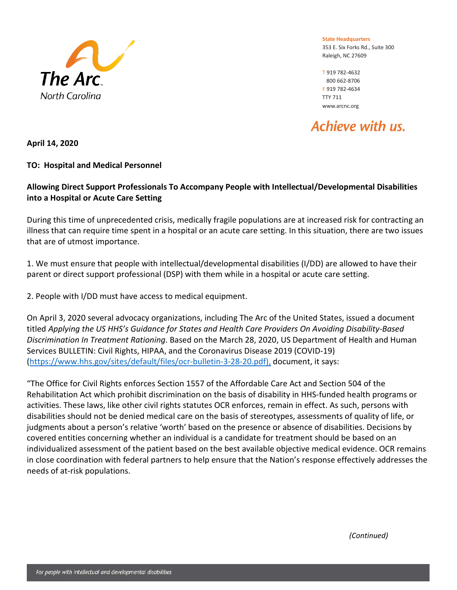

**State Headquarters** 353 E. Six Forks Rd., Suite 300 Raleigh, NC 27609

T 919 782-4632 F 919 782-4634 TTY 711 www.arcnc.org

Achieve with us.

**April 14, 2020**

## **TO: Hospital and Medical Personnel**

## **Allowing Direct Support Professionals To Accompany People with Intellectual/Developmental Disabilities into a Hospital or Acute Care Setting**

During this time of unprecedented crisis, medically fragile populations are at increased risk for contracting an illness that can require time spent in a hospital or an acute care setting. In this situation, there are two issues that are of utmost importance.

1. We must ensure that people with intellectual/developmental disabilities (I/DD) are allowed to have their parent or direct support professional (DSP) with them while in a hospital or acute care setting.

2. People with I/DD must have access to medical equipment.

On April 3, 2020 several advocacy organizations, including The Arc of the United States, issued a document titled *Applying the US HHS's Guidance for States and Health Care Providers On Avoiding Disability-Based Discrimination In Treatment Rationing*. Based on the March 28, 2020, US Department of Health and Human Services BULLETIN: Civil Rights, HIPAA, and the Coronavirus Disease 2019 (COVID-19) [\(https://www.hhs.gov/sites/default/files/ocr-bulletin-3-28-20.pdf\),](https://www.hhs.gov/sites/default/files/ocr-bulletin-3-28-20.pdf),) document, it says:

"The Office for Civil Rights enforces Section 1557 of the Affordable Care Act and Section 504 of the Rehabilitation Act which prohibit discrimination on the basis of disability in HHS-funded health programs or activities. These laws, like other civil rights statutes OCR enforces, remain in effect. As such, persons with disabilities should not be denied medical care on the basis of stereotypes, assessments of quality of life, or judgments about a person's relative 'worth' based on the presence or absence of disabilities. Decisions by covered entities concerning whether an individual is a candidate for treatment should be based on an individualized assessment of the patient based on the best available objective medical evidence. OCR remains in close coordination with federal partners to help ensure that the Nation's response effectively addresses the needs of at-risk populations.

*(Continued)*